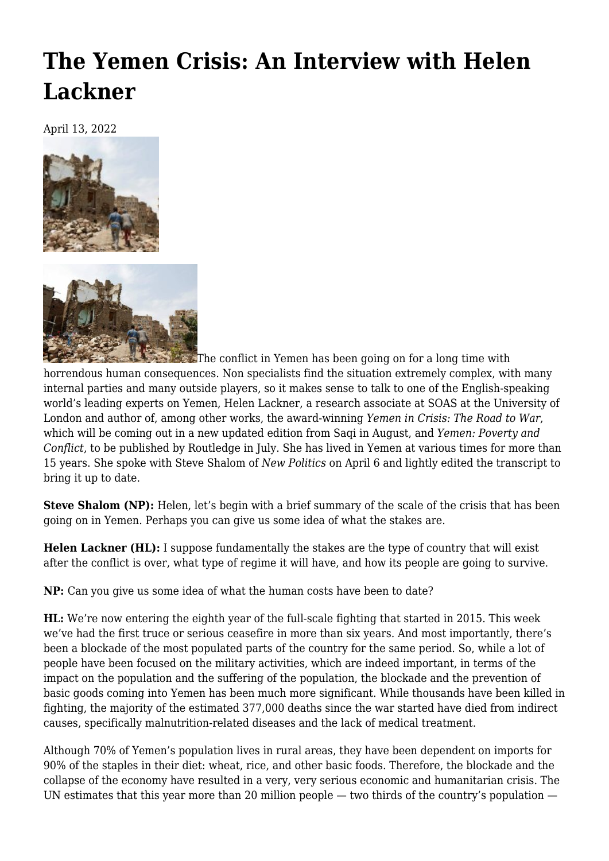## **[The Yemen Crisis: An Interview with Helen](https://newpol.org/the-yemen-crisis-an-interview-with-helen-lackner/) [Lackner](https://newpol.org/the-yemen-crisis-an-interview-with-helen-lackner/)**

April 13, 2022





The conflict in Yemen has been going on for a long time with

horrendous human consequences. Non specialists find the situation extremely complex, with many internal parties and many outside players, so it makes sense to talk to one of the English-speaking world's leading experts on Yemen, Helen Lackner, a research associate at SOAS at the University of London and author of, among other works, the award-winning *[Yemen in Crisis: The Road to War](https://www.versobooks.com/books/2967-yemen-in-crisis)*, which will be coming out in a new updated edition from Saqi in August, and *[Yemen: Poverty and](https://www.routledge.com/Yemen-Poverty-and-Conflict/Lackner/p/book/9780367180508) [Conflict](https://www.routledge.com/Yemen-Poverty-and-Conflict/Lackner/p/book/9780367180508)*, to be published by Routledge in July. She has lived in Yemen at various times for more than 15 years. She spoke with Steve Shalom of *New Politics* on April 6 and lightly edited the transcript to bring it up to date.

**Steve Shalom (NP):** Helen, let's begin with a brief summary of the scale of the crisis that has been going on in Yemen. Perhaps you can give us some idea of what the stakes are.

**Helen Lackner (HL):** I suppose fundamentally the stakes are the type of country that will exist after the conflict is over, what type of regime it will have, and how its people are going to survive.

**NP:** Can you give us some idea of what the human costs have been to date?

**HL:** We're now entering the eighth year of the full-scale fighting that started in 2015. This week we've had the first truce or serious ceasefire in more than six years. And most importantly, there's been a blockade of the most populated parts of the country for the same period. So, while a lot of people have been focused on the military activities, which are indeed important, in terms of the impact on the population and the suffering of the population, the blockade and the prevention of basic goods coming into Yemen has been much more significant. While thousands have been killed in fighting, the majority of the estimated 377,000 deaths since the war started have died from indirect causes, specifically malnutrition-related diseases and the lack of medical treatment.

Although 70% of Yemen's population lives in rural areas, they have been dependent on imports for 90% of the staples in their diet: wheat, rice, and other basic foods. Therefore, the blockade and the collapse of the economy have resulted in a very, very serious economic and humanitarian crisis. The UN estimates that this year more than 20 million people — two thirds of the country's population —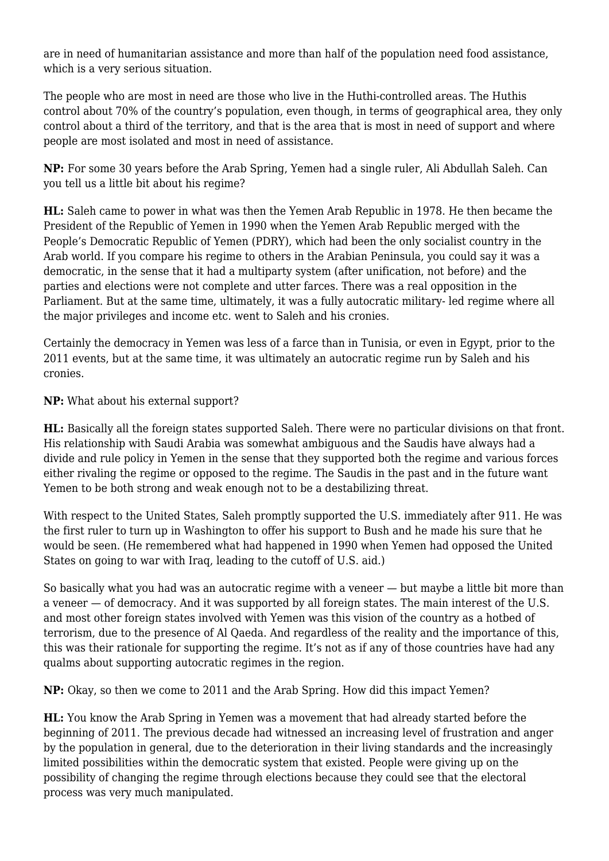are in need of humanitarian assistance and more than half of the population need food assistance, which is a very serious situation.

The people who are most in need are those who live in the Huthi-controlled areas. The Huthis control about 70% of the country's population, even though, in terms of geographical area, they only control about a third of the territory, and that is the area that is most in need of support and where people are most isolated and most in need of assistance.

**NP:** For some 30 years before the Arab Spring, Yemen had a single ruler, Ali Abdullah Saleh. Can you tell us a little bit about his regime?

**HL:** Saleh came to power in what was then the Yemen Arab Republic in 1978. He then became the President of the Republic of Yemen in 1990 when the Yemen Arab Republic merged with the People's Democratic Republic of Yemen (PDRY), which had been the only socialist country in the Arab world. If you compare his regime to others in the Arabian Peninsula, you could say it was a democratic, in the sense that it had a multiparty system (after unification, not before) and the parties and elections were not complete and utter farces. There was a real opposition in the Parliament. But at the same time, ultimately, it was a fully autocratic military- led regime where all the major privileges and income etc. went to Saleh and his cronies.

Certainly the democracy in Yemen was less of a farce than in Tunisia, or even in Egypt, prior to the 2011 events, but at the same time, it was ultimately an autocratic regime run by Saleh and his cronies.

**NP:** What about his external support?

**HL:** Basically all the foreign states supported Saleh. There were no particular divisions on that front. His relationship with Saudi Arabia was somewhat ambiguous and the Saudis have always had a divide and rule policy in Yemen in the sense that they supported both the regime and various forces either rivaling the regime or opposed to the regime. The Saudis in the past and in the future want Yemen to be both strong and weak enough not to be a destabilizing threat.

With respect to the United States, Saleh promptly supported the U.S. immediately after 911. He was the first ruler to turn up in Washington to offer his support to Bush and he made his sure that he would be seen. (He remembered what had happened in 1990 when Yemen had opposed the United States on going to war with Iraq, leading to the cutoff of U.S. aid.)

So basically what you had was an autocratic regime with a veneer — but maybe a little bit more than a veneer — of democracy. And it was supported by all foreign states. The main interest of the U.S. and most other foreign states involved with Yemen was this vision of the country as a hotbed of terrorism, due to the presence of Al Qaeda. And regardless of the reality and the importance of this, this was their rationale for supporting the regime. It's not as if any of those countries have had any qualms about supporting autocratic regimes in the region.

**NP:** Okay, so then we come to 2011 and the Arab Spring. How did this impact Yemen?

**HL:** You know the Arab Spring in Yemen was a movement that had already started before the beginning of 2011. The previous decade had witnessed an increasing level of frustration and anger by the population in general, due to the deterioration in their living standards and the increasingly limited possibilities within the democratic system that existed. People were giving up on the possibility of changing the regime through elections because they could see that the electoral process was very much manipulated.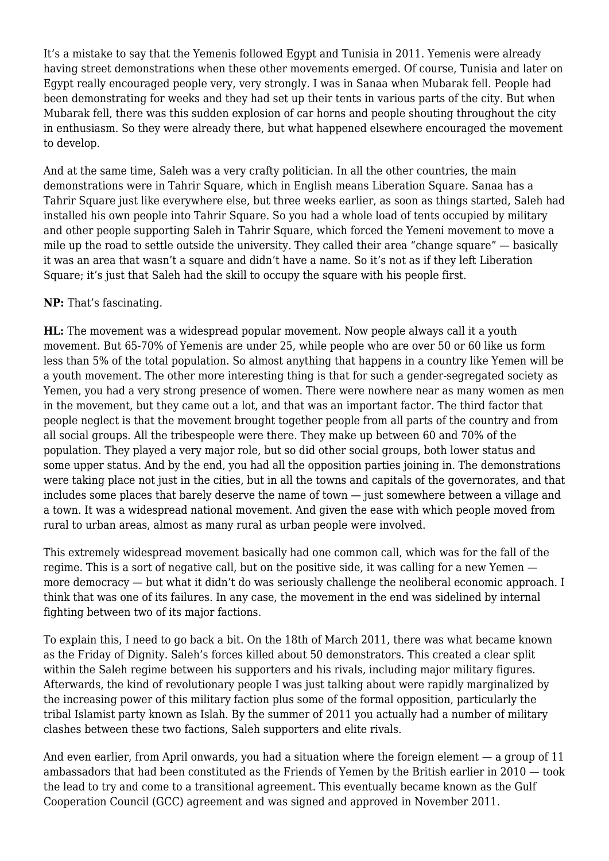It's a mistake to say that the Yemenis followed Egypt and Tunisia in 2011. Yemenis were already having street demonstrations when these other movements emerged. Of course, Tunisia and later on Egypt really encouraged people very, very strongly. I was in Sanaa when Mubarak fell. People had been demonstrating for weeks and they had set up their tents in various parts of the city. But when Mubarak fell, there was this sudden explosion of car horns and people shouting throughout the city in enthusiasm. So they were already there, but what happened elsewhere encouraged the movement to develop.

And at the same time, Saleh was a very crafty politician. In all the other countries, the main demonstrations were in Tahrir Square, which in English means Liberation Square. Sanaa has a Tahrir Square just like everywhere else, but three weeks earlier, as soon as things started, Saleh had installed his own people into Tahrir Square. So you had a whole load of tents occupied by military and other people supporting Saleh in Tahrir Square, which forced the Yemeni movement to move a mile up the road to settle outside the university. They called their area "change square" — basically it was an area that wasn't a square and didn't have a name. So it's not as if they left Liberation Square; it's just that Saleh had the skill to occupy the square with his people first.

## **NP:** That's fascinating.

**HL:** The movement was a widespread popular movement. Now people always call it a youth movement. But 65-70% of Yemenis are under 25, while people who are over 50 or 60 like us form less than 5% of the total population. So almost anything that happens in a country like Yemen will be a youth movement. The other more interesting thing is that for such a gender-segregated society as Yemen, you had a very strong presence of women. There were nowhere near as many women as men in the movement, but they came out a lot, and that was an important factor. The third factor that people neglect is that the movement brought together people from all parts of the country and from all social groups. All the tribespeople were there. They make up between 60 and 70% of the population. They played a very major role, but so did other social groups, both lower status and some upper status. And by the end, you had all the opposition parties joining in. The demonstrations were taking place not just in the cities, but in all the towns and capitals of the governorates, and that includes some places that barely deserve the name of town — just somewhere between a village and a town. It was a widespread national movement. And given the ease with which people moved from rural to urban areas, almost as many rural as urban people were involved.

This extremely widespread movement basically had one common call, which was for the fall of the regime. This is a sort of negative call, but on the positive side, it was calling for a new Yemen more democracy — but what it didn't do was seriously challenge the neoliberal economic approach. I think that was one of its failures. In any case, the movement in the end was sidelined by internal fighting between two of its major factions.

To explain this, I need to go back a bit. On the 18th of March 2011, there was what became known as the Friday of Dignity. Saleh's forces killed about 50 demonstrators. This created a clear split within the Saleh regime between his supporters and his rivals, including major military figures. Afterwards, the kind of revolutionary people I was just talking about were rapidly marginalized by the increasing power of this military faction plus some of the formal opposition, particularly the tribal Islamist party known as Islah. By the summer of 2011 you actually had a number of military clashes between these two factions, Saleh supporters and elite rivals.

And even earlier, from April onwards, you had a situation where the foreign element — a group of 11 ambassadors that had been constituted as the Friends of Yemen by the British earlier in 2010 — took the lead to try and come to a transitional agreement. This eventually became known as the Gulf Cooperation Council (GCC) agreement and was signed and approved in November 2011.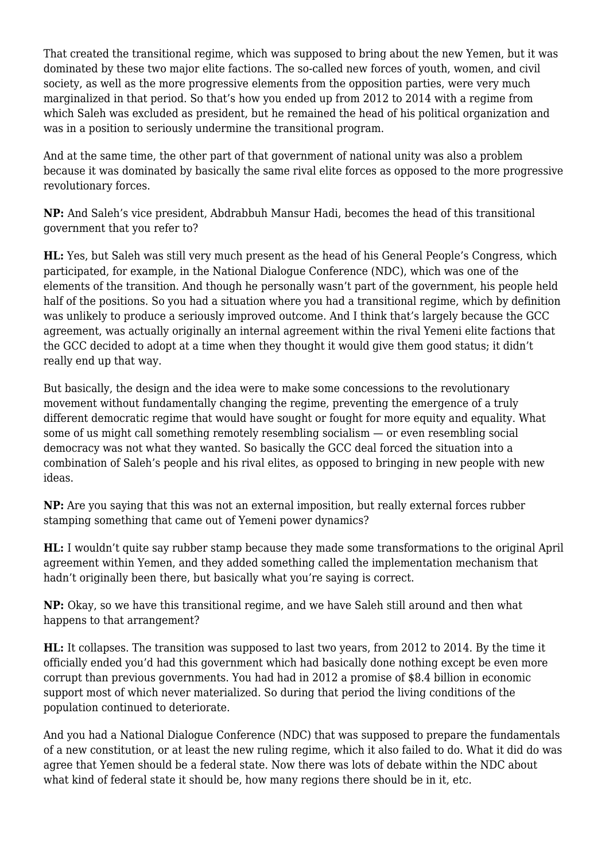That created the transitional regime, which was supposed to bring about the new Yemen, but it was dominated by these two major elite factions. The so-called new forces of youth, women, and civil society, as well as the more progressive elements from the opposition parties, were very much marginalized in that period. So that's how you ended up from 2012 to 2014 with a regime from which Saleh was excluded as president, but he remained the head of his political organization and was in a position to seriously undermine the transitional program.

And at the same time, the other part of that government of national unity was also a problem because it was dominated by basically the same rival elite forces as opposed to the more progressive revolutionary forces.

**NP:** And Saleh's vice president, Abdrabbuh Mansur Hadi, becomes the head of this transitional government that you refer to?

**HL:** Yes, but Saleh was still very much present as the head of his General People's Congress, which participated, for example, in the National Dialogue Conference (NDC), which was one of the elements of the transition. And though he personally wasn't part of the government, his people held half of the positions. So you had a situation where you had a transitional regime, which by definition was unlikely to produce a seriously improved outcome. And I think that's largely because the GCC agreement, was actually originally an internal agreement within the rival Yemeni elite factions that the GCC decided to adopt at a time when they thought it would give them good status; it didn't really end up that way.

But basically, the design and the idea were to make some concessions to the revolutionary movement without fundamentally changing the regime, preventing the emergence of a truly different democratic regime that would have sought or fought for more equity and equality. What some of us might call something remotely resembling socialism — or even resembling social democracy was not what they wanted. So basically the GCC deal forced the situation into a combination of Saleh's people and his rival elites, as opposed to bringing in new people with new ideas.

**NP:** Are you saying that this was not an external imposition, but really external forces rubber stamping something that came out of Yemeni power dynamics?

**HL:** I wouldn't quite say rubber stamp because they made some transformations to the original April agreement within Yemen, and they added something called the implementation mechanism that hadn't originally been there, but basically what you're saying is correct.

**NP:** Okay, so we have this transitional regime, and we have Saleh still around and then what happens to that arrangement?

**HL:** It collapses. The transition was supposed to last two years, from 2012 to 2014. By the time it officially ended you'd had this government which had basically done nothing except be even more corrupt than previous governments. You had had in 2012 a promise of \$8.4 billion in economic support most of which never materialized. So during that period the living conditions of the population continued to deteriorate.

And you had a National Dialogue Conference (NDC) that was supposed to prepare the fundamentals of a new constitution, or at least the new ruling regime, which it also failed to do. What it did do was agree that Yemen should be a federal state. Now there was lots of debate within the NDC about what kind of federal state it should be, how many regions there should be in it, etc.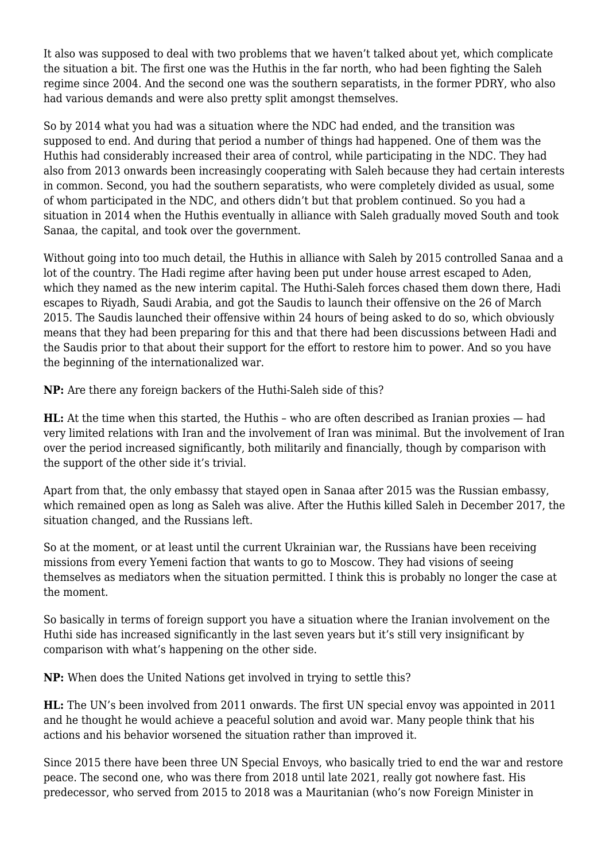It also was supposed to deal with two problems that we haven't talked about yet, which complicate the situation a bit. The first one was the Huthis in the far north, who had been fighting the Saleh regime since 2004. And the second one was the southern separatists, in the former PDRY, who also had various demands and were also pretty split amongst themselves.

So by 2014 what you had was a situation where the NDC had ended, and the transition was supposed to end. And during that period a number of things had happened. One of them was the Huthis had considerably increased their area of control, while participating in the NDC. They had also from 2013 onwards been increasingly cooperating with Saleh because they had certain interests in common. Second, you had the southern separatists, who were completely divided as usual, some of whom participated in the NDC, and others didn't but that problem continued. So you had a situation in 2014 when the Huthis eventually in alliance with Saleh gradually moved South and took Sanaa, the capital, and took over the government.

Without going into too much detail, the Huthis in alliance with Saleh by 2015 controlled Sanaa and a lot of the country. The Hadi regime after having been put under house arrest escaped to Aden, which they named as the new interim capital. The Huthi-Saleh forces chased them down there, Hadi escapes to Riyadh, Saudi Arabia, and got the Saudis to launch their offensive on the 26 of March 2015. The Saudis launched their offensive within 24 hours of being asked to do so, which obviously means that they had been preparing for this and that there had been discussions between Hadi and the Saudis prior to that about their support for the effort to restore him to power. And so you have the beginning of the internationalized war.

**NP:** Are there any foreign backers of the Huthi-Saleh side of this?

**HL:** At the time when this started, the Huthis – who are often described as Iranian proxies — had very limited relations with Iran and the involvement of Iran was minimal. But the involvement of Iran over the period increased significantly, both militarily and financially, though by comparison with the support of the other side it's trivial.

Apart from that, the only embassy that stayed open in Sanaa after 2015 was the Russian embassy, which remained open as long as Saleh was alive. After the Huthis killed Saleh in December 2017, the situation changed, and the Russians left.

So at the moment, or at least until the current Ukrainian war, the Russians have been receiving missions from every Yemeni faction that wants to go to Moscow. They had visions of seeing themselves as mediators when the situation permitted. I think this is probably no longer the case at the moment.

So basically in terms of foreign support you have a situation where the Iranian involvement on the Huthi side has increased significantly in the last seven years but it's still very insignificant by comparison with what's happening on the other side.

**NP:** When does the United Nations get involved in trying to settle this?

**HL:** The UN's been involved from 2011 onwards. The first UN special envoy was appointed in 2011 and he thought he would achieve a peaceful solution and avoid war. Many people think that his actions and his behavior worsened the situation rather than improved it.

Since 2015 there have been three UN Special Envoys, who basically tried to end the war and restore peace. The second one, who was there from 2018 until late 2021, really got nowhere fast. His predecessor, who served from 2015 to 2018 was a Mauritanian (who's now Foreign Minister in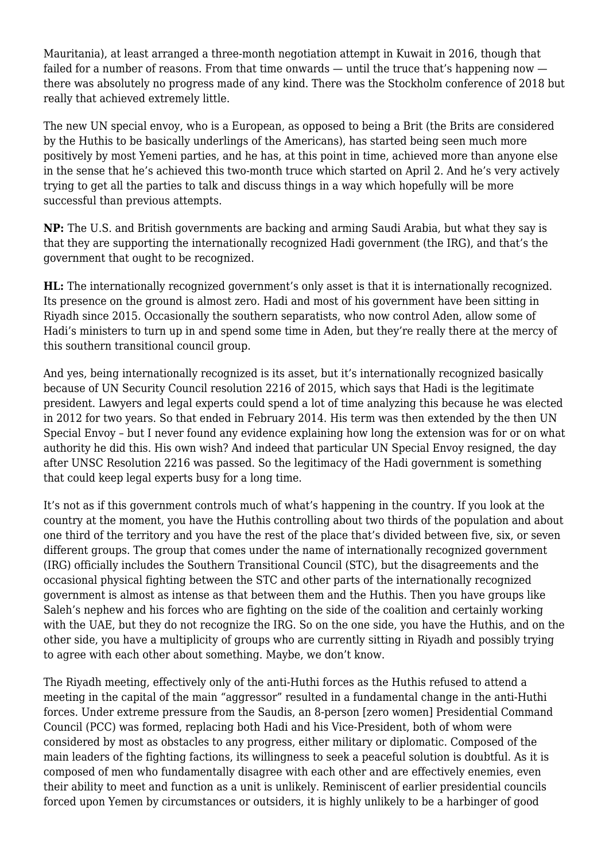Mauritania), at least arranged a three-month negotiation attempt in Kuwait in 2016, though that failed for a number of reasons. From that time onwards — until the truce that's happening now there was absolutely no progress made of any kind. There was the Stockholm conference of 2018 but really that achieved extremely little.

The new UN special envoy, who is a European, as opposed to being a Brit (the Brits are considered by the Huthis to be basically underlings of the Americans), has started being seen much more positively by most Yemeni parties, and he has, at this point in time, achieved more than anyone else in the sense that he's achieved this two-month truce which started on April 2. And he's very actively trying to get all the parties to talk and discuss things in a way which hopefully will be more successful than previous attempts.

**NP:** The U.S. and British governments are backing and arming Saudi Arabia, but what they say is that they are supporting the internationally recognized Hadi government (the IRG), and that's the government that ought to be recognized.

**HL:** The internationally recognized government's only asset is that it is internationally recognized. Its presence on the ground is almost zero. Hadi and most of his government have been sitting in Riyadh since 2015. Occasionally the southern separatists, who now control Aden, allow some of Hadi's ministers to turn up in and spend some time in Aden, but they're really there at the mercy of this southern transitional council group.

And yes, being internationally recognized is its asset, but it's internationally recognized basically because of UN Security Council resolution 2216 of 2015, which says that Hadi is the legitimate president. Lawyers and legal experts could spend a lot of time analyzing this because he was elected in 2012 for two years. So that ended in February 2014. His term was then extended by the then UN Special Envoy – but I never found any evidence explaining how long the extension was for or on what authority he did this. His own wish? And indeed that particular UN Special Envoy resigned, the day after UNSC Resolution 2216 was passed. So the legitimacy of the Hadi government is something that could keep legal experts busy for a long time.

It's not as if this government controls much of what's happening in the country. If you look at the country at the moment, you have the Huthis controlling about two thirds of the population and about one third of the territory and you have the rest of the place that's divided between five, six, or seven different groups. The group that comes under the name of internationally recognized government (IRG) officially includes the Southern Transitional Council (STC), but the disagreements and the occasional physical fighting between the STC and other parts of the internationally recognized government is almost as intense as that between them and the Huthis. Then you have groups like Saleh's nephew and his forces who are fighting on the side of the coalition and certainly working with the UAE, but they do not recognize the IRG. So on the one side, you have the Huthis, and on the other side, you have a multiplicity of groups who are currently sitting in Riyadh and possibly trying to agree with each other about something. Maybe, we don't know.

The Riyadh meeting, effectively only of the anti-Huthi forces as the Huthis refused to attend a meeting in the capital of the main "aggressor" resulted in a fundamental change in the anti-Huthi forces. Under extreme pressure from the Saudis, an 8-person [zero women] Presidential Command Council (PCC) was formed, replacing both Hadi and his Vice-President, both of whom were considered by most as obstacles to any progress, either military or diplomatic. Composed of the main leaders of the fighting factions, its willingness to seek a peaceful solution is doubtful. As it is composed of men who fundamentally disagree with each other and are effectively enemies, even their ability to meet and function as a unit is unlikely. Reminiscent of earlier presidential councils forced upon Yemen by circumstances or outsiders, it is highly unlikely to be a harbinger of good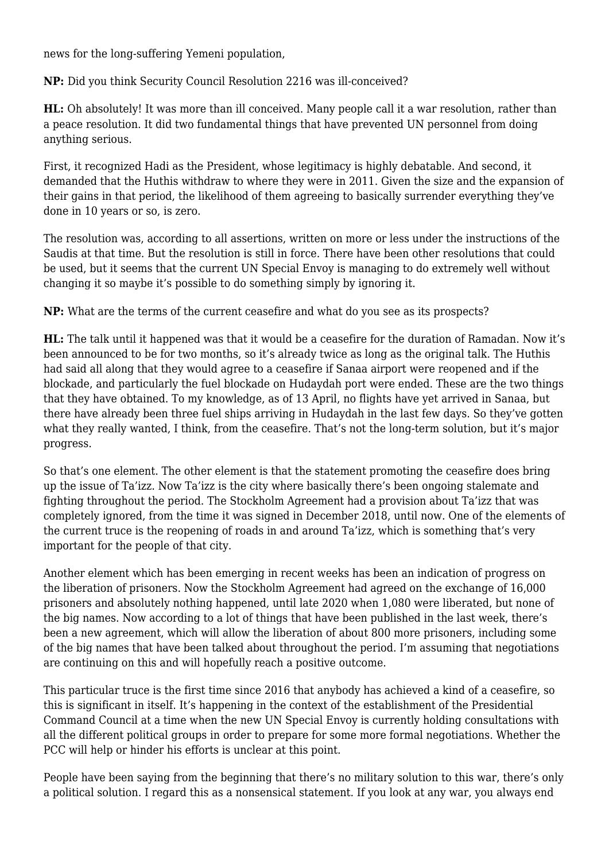news for the long-suffering Yemeni population,

**NP:** Did you think Security Council Resolution 2216 was ill-conceived?

**HL:** Oh absolutely! It was more than ill conceived. Many people call it a war resolution, rather than a peace resolution. It did two fundamental things that have prevented UN personnel from doing anything serious.

First, it recognized Hadi as the President, whose legitimacy is highly debatable. And second, it demanded that the Huthis withdraw to where they were in 2011. Given the size and the expansion of their gains in that period, the likelihood of them agreeing to basically surrender everything they've done in 10 years or so, is zero.

The resolution was, according to all assertions, written on more or less under the instructions of the Saudis at that time. But the resolution is still in force. There have been other resolutions that could be used, but it seems that the current UN Special Envoy is managing to do extremely well without changing it so maybe it's possible to do something simply by ignoring it.

**NP:** What are the terms of the current ceasefire and what do you see as its prospects?

**HL:** The talk until it happened was that it would be a ceasefire for the duration of Ramadan. Now it's been announced to be for two months, so it's already twice as long as the original talk. The Huthis had said all along that they would agree to a ceasefire if Sanaa airport were reopened and if the blockade, and particularly the fuel blockade on Hudaydah port were ended. These are the two things that they have obtained. To my knowledge, as of 13 April, no flights have yet arrived in Sanaa, but there have already been three fuel ships arriving in Hudaydah in the last few days. So they've gotten what they really wanted, I think, from the ceasefire. That's not the long-term solution, but it's major progress.

So that's one element. The other element is that the statement promoting the ceasefire does bring up the issue of Ta'izz. Now Ta'izz is the city where basically there's been ongoing stalemate and fighting throughout the period. The Stockholm Agreement had a provision about Ta'izz that was completely ignored, from the time it was signed in December 2018, until now. One of the elements of the current truce is the reopening of roads in and around Ta'izz, which is something that's very important for the people of that city.

Another element which has been emerging in recent weeks has been an indication of progress on the liberation of prisoners. Now the Stockholm Agreement had agreed on the exchange of 16,000 prisoners and absolutely nothing happened, until late 2020 when 1,080 were liberated, but none of the big names. Now according to a lot of things that have been published in the last week, there's been a new agreement, which will allow the liberation of about 800 more prisoners, including some of the big names that have been talked about throughout the period. I'm assuming that negotiations are continuing on this and will hopefully reach a positive outcome.

This particular truce is the first time since 2016 that anybody has achieved a kind of a ceasefire, so this is significant in itself. It's happening in the context of the establishment of the Presidential Command Council at a time when the new UN Special Envoy is currently holding consultations with all the different political groups in order to prepare for some more formal negotiations. Whether the PCC will help or hinder his efforts is unclear at this point.

People have been saying from the beginning that there's no military solution to this war, there's only a political solution. I regard this as a nonsensical statement. If you look at any war, you always end